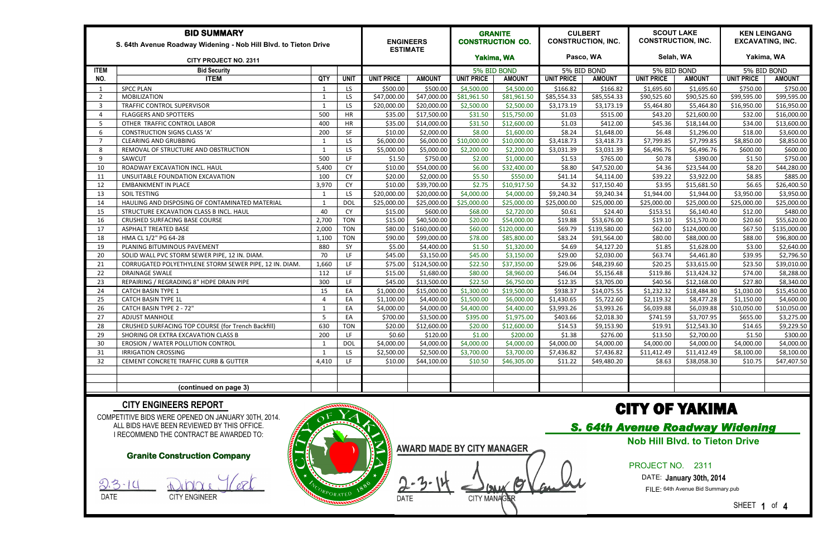| <b>BID SUMMARY</b><br>S. 64th Avenue Roadway Widening - Nob Hill Blvd. to Tieton Drive |                                                        |                          |             |                   | <b>ENGINEERS</b><br><b>ESTIMATE</b> |                   | <b>GRANITE</b><br><b>CONSTRUCTION CO.</b> |                   | <b>CULBERT</b><br><b>CONSTRUCTION, INC.</b> |                   | <b>SCOUT LAKE</b><br><b>CONSTRUCTION, INC.</b> |                   | <b>KEN LEINGANG</b><br><b>EXCAVATING, INC.</b> |  |
|----------------------------------------------------------------------------------------|--------------------------------------------------------|--------------------------|-------------|-------------------|-------------------------------------|-------------------|-------------------------------------------|-------------------|---------------------------------------------|-------------------|------------------------------------------------|-------------------|------------------------------------------------|--|
| <b>CITY PROJECT NO. 2311</b>                                                           |                                                        |                          |             |                   | Yakima, WA                          |                   | Pasco, WA                                 |                   | Selah, WA                                   |                   | Yakima, WA                                     |                   |                                                |  |
| <b>ITEM</b>                                                                            | <b>Bid Security</b>                                    |                          |             |                   |                                     | 5% BID BOND       |                                           | 5% BID BOND       |                                             | 5% BID BOND       |                                                | 5% BID BOND       |                                                |  |
| NO.                                                                                    | <b>ITEM</b>                                            | QTY                      | <b>UNIT</b> | <b>UNIT PRICE</b> | <b>AMOUNT</b>                       | <b>UNIT PRICE</b> | <b>AMOUNT</b>                             | <b>UNIT PRICE</b> | <b>AMOUNT</b>                               | <b>UNIT PRICE</b> | <b>AMOUNT</b>                                  | <b>UNIT PRICE</b> | <b>AMOUNT</b>                                  |  |
|                                                                                        | <b>SPCC PLAN</b>                                       | - 1                      | LS.         | \$500.00          | \$500.00                            | \$4,500.00        | \$4,500.00                                | \$166.82          | \$166.82                                    | \$1,695.60        | \$1,695.60                                     | \$750.00          | \$750.00                                       |  |
| $\overline{2}$                                                                         | <b>MOBILIZATION</b>                                    | - 1                      | LS          | \$47,000.00       | \$47,000.00                         | \$81,961.50       | \$81,961.50                               | \$85,554.33       | \$85,554.33                                 | \$90,525.60       | \$90,525.60                                    | \$99,595.00       | \$99,595.00                                    |  |
| $\overline{3}$                                                                         | TRAFFIC CONTROL SUPERVISOR                             | $\overline{1}$           | LS.         | \$20,000.00       | \$20,000.00                         | \$2,500.00        | \$2,500.00                                | \$3,173.19        | \$3,173.19                                  | \$5,464.80        | \$5,464.80                                     | \$16,950.00       | \$16,950.00                                    |  |
| $\overline{4}$                                                                         | <b>FLAGGERS AND SPOTTERS</b>                           | 500                      | <b>HR</b>   | \$35.00           | \$17,500.00                         | \$31.50           | \$15,750.00                               | \$1.03            | \$515.00                                    | \$43.20           | \$21,600.00                                    | \$32.00           | \$16,000.00                                    |  |
| -5                                                                                     | OTHER TRAFFIC CONTROL LABOR                            | 400                      | <b>HR</b>   | \$35.00           | \$14,000.00                         | \$31.50           | \$12,600.00                               | \$1.03            | \$412.00                                    | \$45.36           | \$18,144.00                                    | \$34.00           | \$13,600.00                                    |  |
| 6                                                                                      | <b>CONSTRUCTION SIGNS CLASS 'A'</b>                    | 200                      | SF          | \$10.00           | \$2,000.00                          | \$8.00            | \$1,600.00                                | \$8.24            | \$1,648.00                                  | \$6.48            | \$1,296.00                                     | \$18.00           | \$3,600.00                                     |  |
|                                                                                        | <b>CLEARING AND GRUBBING</b>                           |                          | LS.         | \$6,000.00        | \$6,000.00                          | \$10,000.00       | \$10,000.00                               | \$3,418.73        | \$3,418.73                                  | \$7,799.85        | \$7,799.85                                     | \$8,850.00        | \$8,850.00                                     |  |
| 8                                                                                      | REMOVAL OF STRUCTURE AND OBSTRUCTION                   |                          | LS.         | \$5,000.00        | \$5,000.00                          | \$2,200.00        | \$2,200.00                                | \$3,031.39        | \$3,031.39                                  | \$6,496.76        | \$6,496.76                                     | \$600.00          | \$600.00                                       |  |
| q                                                                                      | SAWCUT                                                 | 500                      | LF          | \$1.50            | \$750.00                            | \$2.00            | \$1,000.00                                | \$1.53            | \$765.00                                    | \$0.78            | \$390.00                                       | \$1.50            | \$750.00                                       |  |
| 10                                                                                     | ROADWAY EXCAVATION INCL. HAUL                          | 5,400                    | <b>CY</b>   | \$10.00           | \$54,000.00                         | \$6.00            | \$32,400.00                               | \$8.80            | \$47,520.00                                 | \$4.36            | \$23,544.00                                    | \$8.20            | \$44,280.00                                    |  |
| 11                                                                                     | UNSUITABLE FOUNDATION EXCAVATION                       | 100                      | CY          | \$20.00           | \$2,000.00                          | \$5.50            | \$550.00                                  | \$41.14           | \$4,114.00                                  | \$39.22           | \$3,922.00                                     | \$8.85            | \$885.00                                       |  |
| 12                                                                                     | <b>EMBANKMENT IN PLACE</b>                             | 3,970                    | <b>CY</b>   | \$10.00           | \$39,700.00                         | \$2.75            | \$10,917.50                               | \$4.32            | \$17,150.40                                 | \$3.95            | \$15,681.50                                    | \$6.65            | \$26,400.50                                    |  |
| 13                                                                                     | SOIL TESTING                                           |                          | LS.         | \$20,000.00       | \$20,000.00                         | \$4,000.00        | \$4,000.00                                | \$9,240.34        | \$9,240.34                                  | \$1,944.00        | \$1,944.00                                     | \$3,950.00        | \$3,950.00                                     |  |
| 14                                                                                     | HAULING AND DISPOSING OF CONTAMINATED MATERIAL         |                          | <b>DOL</b>  | \$25,000.00       | \$25,000.00                         | \$25,000.00       | \$25,000.00                               | \$25,000.00       | \$25,000.00                                 | \$25,000.00       | \$25,000.00                                    | \$25,000.00       | \$25,000.00                                    |  |
| 15                                                                                     | STRUCTURE EXCAVATION CLASS B INCL. HAUL                | 40                       | <b>CY</b>   | \$15.00           | \$600.00                            | \$68.00           | \$2,720.00                                | \$0.61            | \$24.40                                     | \$153.51          | \$6,140.40                                     | \$12.00           | \$480.00                                       |  |
| 16                                                                                     | CRUSHED SURFACING BASE COURSE                          | 2,700                    | <b>TON</b>  | \$15.00           | \$40,500.00                         | \$20.00           | \$54,000.00                               | \$19.88           | \$53,676.00                                 | \$19.10           | \$51,570.00                                    | \$20.60           | \$55,620.00                                    |  |
| 17                                                                                     | <b>ASPHALT TREATED BASE</b>                            | 2,000                    | <b>TON</b>  | \$80.00           | \$160,000.00                        | \$60.00           | \$120,000.00                              | \$69.79           | \$139,580.00                                | \$62.00           | \$124,000.00                                   | \$67.50           | \$135,000.00                                   |  |
| 18                                                                                     | HMA CL 1/2" PG 64-28                                   | 1,100                    | <b>TON</b>  | \$90.00           | \$99,000.00                         | \$78.00           | \$85,800.00                               | \$83.24           | \$91,564.00                                 | \$80.00           | \$88,000.00                                    | \$88.00           | \$96,800.00                                    |  |
| 19                                                                                     | PLANING BITUMINOUS PAVEMENT                            | 880                      | SY          | \$5.00            | \$4,400.00                          | \$1.50            | \$1,320.00                                | \$4.69            | \$4,127.20                                  | \$1.85            | \$1,628.00                                     | \$3.00            | \$2,640.00                                     |  |
| 20                                                                                     | SOLID WALL PVC STORM SEWER PIPE, 12 IN. DIAM.          | 70                       | LF.         | \$45.00           | \$3,150.00                          | \$45.00           | \$3,150.00                                | \$29.00           | \$2,030.00                                  | \$63.74           | \$4,461.80                                     | \$39.95           | \$2,796.50                                     |  |
| 21                                                                                     | CORRUGATED POLYETHYLENE STORM SEWER PIPE, 12 IN. DIAM. | 1,660                    | LF.         | \$75.00           | \$124,500.00                        | \$22.50           | \$37,350.00                               | \$29.06           | \$48,239.60                                 | \$20.25           | \$33,615.00                                    | \$23.50           | \$39,010.00                                    |  |
| 22                                                                                     | <b>DRAINAGE SWALE</b>                                  | 112                      | LF          | \$15.00           | \$1,680.00                          | \$80.00           | \$8,960.00                                | \$46.04           | \$5,156.48                                  | \$119.86          | \$13,424.32                                    | \$74.00           | \$8,288.00                                     |  |
| 23                                                                                     | REPAIRING / REGRADING 8" HDPE DRAIN PIPE               | 300                      | LF          | \$45.00           | \$13,500.00                         | \$22.50           | \$6,750.00                                | \$12.35           | \$3,705.00                                  | \$40.56           | \$12,168.00                                    | \$27.80           | \$8,340.00                                     |  |
| 24                                                                                     | <b>CATCH BASIN TYPE 1</b>                              | 15                       | EA          | \$1,000.00        | \$15,000.00                         | \$1,300.00        | \$19,500.00                               | \$938.37          | \$14,075.55                                 | \$1,232.32        | \$18,484.80                                    | \$1,030.00        | \$15,450.00                                    |  |
| 25                                                                                     | <b>CATCH BASIN TYPE 1L</b>                             | $\overline{\phantom{a}}$ | EA          | \$1,100.00        | \$4,400.00                          | \$1,500.00        | \$6,000.00                                | \$1,430.65        | \$5,722.60                                  | \$2,119.32        | \$8,477.28                                     | \$1,150.00        | \$4,600.00                                     |  |
| 26                                                                                     | CATCH BASIN TYPE 2 - 72"                               |                          | EA          | \$4,000.00        | \$4,000.00                          | \$4,400.00        | \$4,400.00                                | \$3,993.26        | \$3,993.26                                  | \$6,039.88        | \$6,039.88                                     | \$10,050.00       | \$10,050.00                                    |  |
| 27                                                                                     | <b>ADJUST MANHOLE</b>                                  | -5                       | EA          | \$700.00          | \$3,500.00                          | \$395.00          | \$1,975.00                                | \$403.66          | \$2,018.30                                  | \$741.59          | \$3,707.95                                     | \$655.00          | \$3,275.00                                     |  |
| 28                                                                                     | CRUSHED SURFACING TOP COURSE (for Trench Backfill)     | 630                      | <b>TON</b>  | \$20.00           | \$12,600.00                         | \$20.00           | \$12,600.00                               | \$14.53           | \$9,153.90                                  | \$19.91           | \$12,543.30                                    | \$14.65           | \$9,229.50                                     |  |
| 29                                                                                     | SHORING OR EXTRA EXCAVATION CLASS B                    | 200                      | LF.         | \$0.60            | \$120.00                            | \$1.00            | \$200.00                                  | \$1.38            | \$276.00                                    | \$13.50           | \$2,700.00                                     | \$1.50            | \$300.00                                       |  |
| 30                                                                                     | EROSION / WATER POLLUTION CONTROL                      |                          | <b>DOL</b>  | \$4,000.00        | \$4,000.00                          | \$4,000.00        | \$4,000.00                                | \$4,000.00        | \$4,000.00                                  | \$4,000.00        | \$4,000.00                                     | \$4,000.00        | \$4,000.00                                     |  |
| 31                                                                                     | <b>IRRIGATION CROSSING</b>                             |                          | LS.         | \$2,500.00        | \$2,500.00                          | \$3,700.00        | \$3,700.00                                | \$7,436.82        | \$7,436.82                                  | \$11,412.49       | \$11,412.49                                    | \$8,100.00        | \$8,100.00                                     |  |
| 32                                                                                     | CEMENT CONCRETE TRAFFIC CURB & GUTTER                  | 4,410                    | LF.         | \$10.00           | \$44,100.00                         | \$10.50           | \$46,305.00                               | \$11.22           | \$49,480.20                                 | \$8.63            | \$38,058.30                                    | \$10.75           | \$47,407.50                                    |  |
|                                                                                        |                                                        |                          |             |                   |                                     |                   |                                           |                   |                                             |                   |                                                |                   |                                                |  |
|                                                                                        |                                                        |                          |             |                   |                                     |                   |                                           |                   |                                             |                   |                                                |                   |                                                |  |
|                                                                                        | (continued on page 3)                                  |                          |             |                   |                                     |                   |                                           |                   |                                             |                   |                                                |                   |                                                |  |

COMPETITIVE BIDS WERE OPENED ON JANUARY 30TH, 2014. ALL BIDS HAVE BEEN REVIEWED BY THIS OFFICE. I RECOMMEND THE CONTRACT BE AWARDED TO:





#### **CITY ENGINEERS REPORT**

**AWARD MADE BY CITY MANAGER**

0 DATE CITY MANAGER

# CITY OF YAKIMA

#### PROJECT NO. 2311

DATE: **January 30th, 2014**

FILE: 64th Avenue Bid Summary.pub

## *S. 64th Avenue Roadway Widening*  **Nob Hill Blvd. to Tieton Drive**

SHEET **1** of **4**

#### **Granite Construction Company**

 $9.3 - 14$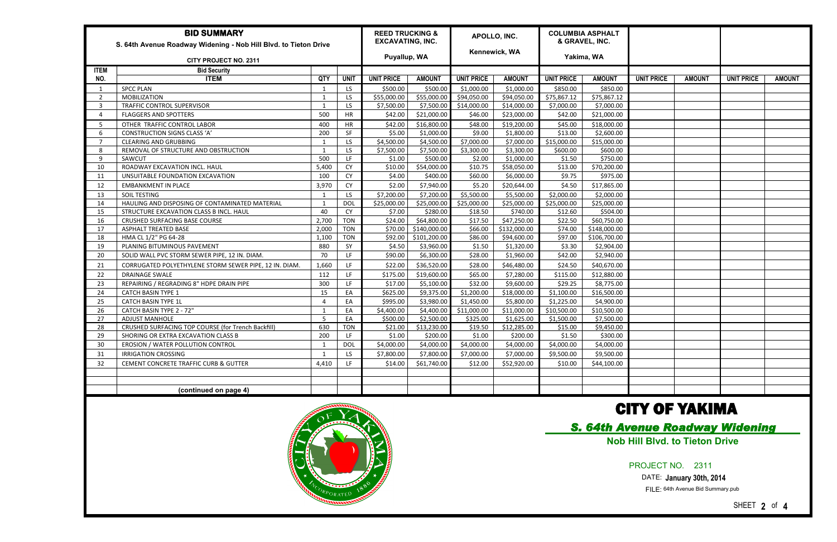| <b>BID SUMMARY</b><br>S. 64th Avenue Roadway Widening - Nob Hill Blvd. to Tieton Drive |                                                        |                |             |                   | <b>REED TRUCKING &amp;</b><br><b>EXCAVATING, INC.</b> |                   | APOLLO, INC.  |                   | <b>COLUMBIA ASPHALT</b><br>& GRAVEL, INC. |                   |               |                   |               |
|----------------------------------------------------------------------------------------|--------------------------------------------------------|----------------|-------------|-------------------|-------------------------------------------------------|-------------------|---------------|-------------------|-------------------------------------------|-------------------|---------------|-------------------|---------------|
| <b>CITY PROJECT NO. 2311</b>                                                           |                                                        |                |             |                   | Puyallup, WA                                          |                   | Kennewick, WA |                   | Yakima, WA                                |                   |               |                   |               |
| <b>ITEM</b>                                                                            | <b>Bid Security</b>                                    |                |             |                   |                                                       |                   |               |                   |                                           |                   |               |                   |               |
| NO.                                                                                    | <b>ITEM</b>                                            | QTY            | <b>UNIT</b> | <b>UNIT PRICE</b> | <b>AMOUNT</b>                                         | <b>UNIT PRICE</b> | <b>AMOUNT</b> | <b>UNIT PRICE</b> | <b>AMOUNT</b>                             | <b>UNIT PRICE</b> | <b>AMOUNT</b> | <b>UNIT PRICE</b> | <b>AMOUNT</b> |
|                                                                                        | <b>SPCC PLAN</b>                                       |                | LS          | \$500.00          | \$500.00                                              | \$1,000.00        | \$1,000.00    | \$850.00          | \$850.00                                  |                   |               |                   |               |
| $\overline{2}$                                                                         | <b>MOBILIZATION</b>                                    | $\overline{1}$ | LS.         | \$55,000.00       | \$55,000.00                                           | \$94,050.00       | \$94,050.00   | \$75,867.12       | \$75,867.12                               |                   |               |                   |               |
| 3                                                                                      | TRAFFIC CONTROL SUPERVISOR                             | $\overline{1}$ | <b>LS</b>   | \$7,500.00        | \$7,500.00                                            | \$14,000.00       | \$14,000.00   | \$7,000.00        | \$7,000.00                                |                   |               |                   |               |
|                                                                                        | <b>FLAGGERS AND SPOTTERS</b>                           | 500            | HR          | \$42.00           | \$21,000.00                                           | \$46.00           | \$23,000.00   | \$42.00           | \$21,000.00                               |                   |               |                   |               |
| -5                                                                                     | OTHER TRAFFIC CONTROL LABOR                            | 400            | HR          | \$42.00           | \$16,800.00                                           | \$48.00           | \$19,200.00   | \$45.00           | \$18,000.00                               |                   |               |                   |               |
| -6                                                                                     | <b>CONSTRUCTION SIGNS CLASS 'A'</b>                    | 200            | SF          | \$5.00            | \$1,000.00                                            | \$9.00            | \$1,800.00    | \$13.00           | \$2,600.00                                |                   |               |                   |               |
| -7                                                                                     | <b>CLEARING AND GRUBBING</b>                           | $\overline{1}$ | LS.         | \$4,500.00        | \$4,500.00                                            | \$7,000.00        | \$7,000.00    | \$15,000.00       | \$15,000.00                               |                   |               |                   |               |
| -8                                                                                     | REMOVAL OF STRUCTURE AND OBSTRUCTION                   | $\overline{1}$ | LS          | \$7,500.00        | \$7,500.00                                            | \$3,300.00        | \$3,300.00    | \$600.00          | \$600.00                                  |                   |               |                   |               |
| 9                                                                                      | SAWCUT                                                 | 500            | LF          | \$1.00            | \$500.00                                              | \$2.00            | \$1,000.00    | \$1.50            | \$750.00                                  |                   |               |                   |               |
| 10                                                                                     | ROADWAY EXCAVATION INCL. HAUL                          | 5,400          | CY          | \$10.00           | \$54,000.00                                           | \$10.75           | \$58,050.00   | \$13.00           | \$70,200.00                               |                   |               |                   |               |
| 11                                                                                     | UNSUITABLE FOUNDATION EXCAVATION                       | 100            | <b>CY</b>   | \$4.00            | \$400.00                                              | \$60.00           | \$6,000.00    | \$9.75            | \$975.00                                  |                   |               |                   |               |
| 12                                                                                     | <b>EMBANKMENT IN PLACE</b>                             | 3,970          | CY          | \$2.00            | \$7,940.00                                            | \$5.20            | \$20,644.00   | \$4.50            | \$17,865.00                               |                   |               |                   |               |
| 13                                                                                     | SOIL TESTING                                           | 1              | LS.         | \$7,200.00        | \$7,200.00                                            | \$5,500.00        | \$5,500.00    | \$2,000.00        | \$2,000.00                                |                   |               |                   |               |
| 14                                                                                     | HAULING AND DISPOSING OF CONTAMINATED MATERIAL         | $\overline{1}$ | <b>DOL</b>  | \$25,000.00       | \$25,000.00                                           | \$25,000.00       | \$25,000.00   | \$25,000.00       | \$25,000.00                               |                   |               |                   |               |
| 15                                                                                     | STRUCTURE EXCAVATION CLASS B INCL. HAUL                | 40             | <b>CY</b>   | \$7.00            | \$280.00                                              | \$18.50           | \$740.00      | \$12.60           | \$504.00                                  |                   |               |                   |               |
| 16                                                                                     | <b>CRUSHED SURFACING BASE COURSE</b>                   | 2,700          | <b>TON</b>  | \$24.00           | \$64,800.00                                           | \$17.50           | \$47,250.00   | \$22.50           | \$60,750.00                               |                   |               |                   |               |
| 17                                                                                     | <b>ASPHALT TREATED BASE</b>                            | 2,000          | <b>TON</b>  | \$70.00           | \$140,000.00                                          | \$66.00           | \$132,000.00  | \$74.00           | \$148,000.00                              |                   |               |                   |               |
| 18                                                                                     | HMA CL 1/2" PG 64-28                                   | 1,100          | <b>TON</b>  | \$92.00           | \$101,200.00                                          | \$86.00           | \$94,600.00   | \$97.00           | \$106,700.00                              |                   |               |                   |               |
| 19                                                                                     | PLANING BITUMINOUS PAVEMENT                            | 880            | SY          | \$4.50            | \$3,960.00                                            | \$1.50            | \$1,320.00    | \$3.30            | \$2,904.00                                |                   |               |                   |               |
| -20                                                                                    | SOLID WALL PVC STORM SEWER PIPE, 12 IN. DIAM.          | 70             | LF          | \$90.00           | \$6,300.00                                            | \$28.00           | \$1,960.00    | \$42.00           | \$2,940.00                                |                   |               |                   |               |
| 21                                                                                     | CORRUGATED POLYETHYLENE STORM SEWER PIPE, 12 IN. DIAM. | 1,660          | LF.         | \$22.00           | \$36,520.00                                           | \$28.00           | \$46,480.00   | \$24.50           | \$40,670.00                               |                   |               |                   |               |
| 22                                                                                     | <b>DRAINAGE SWALE</b>                                  | 112            | LF          | \$175.00          | \$19,600.00                                           | \$65.00           | \$7,280.00    | \$115.00          | \$12,880.00                               |                   |               |                   |               |
| 23                                                                                     | REPAIRING / REGRADING 8" HDPE DRAIN PIPE               | 300            | LF          | \$17.00           | \$5,100.00                                            | \$32.00           | \$9,600.00    | \$29.25           | \$8,775.00                                |                   |               |                   |               |
| 24                                                                                     | <b>CATCH BASIN TYPE 1</b>                              | 15             | EA          | \$625.00          | \$9,375.00                                            | \$1,200.00        | \$18,000.00   | \$1,100.00        | \$16,500.00                               |                   |               |                   |               |
| 25                                                                                     | <b>CATCH BASIN TYPE 1L</b>                             | $\overline{4}$ | EA          | \$995.00          | \$3,980.00                                            | \$1,450.00        | \$5,800.00    | \$1,225.00        | \$4,900.00                                |                   |               |                   |               |
| 26                                                                                     | CATCH BASIN TYPE 2 - 72"                               |                | EA          | \$4,400.00        | \$4,400.00                                            | \$11,000.00       | \$11,000.00   | \$10,500.00       | \$10,500.00                               |                   |               |                   |               |
| 27                                                                                     | <b>ADJUST MANHOLE</b>                                  | -5             | EA          | \$500.00          | \$2,500.00                                            | \$325.00          | \$1,625.00    | \$1,500.00        | \$7,500.00                                |                   |               |                   |               |
| 28                                                                                     | CRUSHED SURFACING TOP COURSE (for Trench Backfill)     | 630            | <b>TON</b>  | \$21.00           | \$13,230.00                                           | \$19.50           | \$12,285.00   | \$15.00           | \$9,450.00                                |                   |               |                   |               |
| 29                                                                                     | SHORING OR EXTRA EXCAVATION CLASS B                    | 200            | LF          | \$1.00            | \$200.00                                              | \$1.00            | \$200.00      | \$1.50            | \$300.00                                  |                   |               |                   |               |
| 30                                                                                     | EROSION / WATER POLLUTION CONTROL                      | $\overline{1}$ | <b>DOL</b>  | \$4,000.00        | \$4,000.00                                            | \$4,000.00        | \$4,000.00    | \$4,000.00        | \$4,000.00                                |                   |               |                   |               |
| 31                                                                                     | <b>IRRIGATION CROSSING</b>                             |                | LS          | \$7,800.00        | \$7,800.00                                            | \$7,000.00        | \$7,000.00    | \$9,500.00        | \$9,500.00                                |                   |               |                   |               |
| 32                                                                                     | CEMENT CONCRETE TRAFFIC CURB & GUTTER                  | 4,410          | LF.         | \$14.00           | \$61,740.00                                           | \$12.00           | \$52,920.00   | \$10.00           | \$44,100.00                               |                   |               |                   |               |
|                                                                                        |                                                        |                |             |                   |                                                       |                   |               |                   |                                           |                   |               |                   |               |
|                                                                                        |                                                        |                |             |                   |                                                       |                   |               |                   |                                           |                   |               |                   |               |
|                                                                                        | (continued on page 4)                                  |                |             |                   |                                                       |                   |               |                   |                                           |                   |               |                   |               |
|                                                                                        |                                                        |                |             |                   |                                                       |                   |               |                   |                                           |                   |               |                   |               |



## CITY OF YAKIMA

### PROJECT NO. 2311

### DATE: **January 30th, 2014**

## *S. 64th Avenue Roadway Widening*  **Nob Hill Blvd. to Tieton Drive**

FILE: 64th Avenue Bid Summary.pub

SHEET **2** of **4**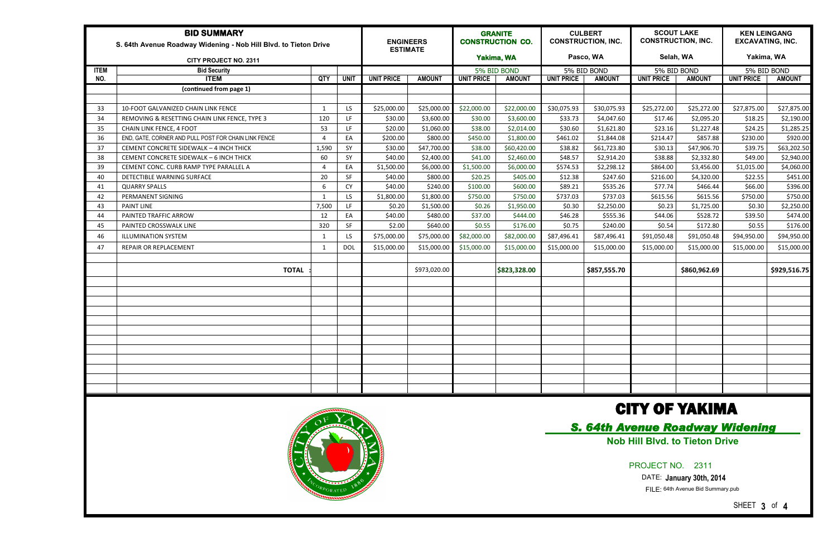| <b>BID SUMMARY</b><br>S. 64th Avenue Roadway Widening - Nob Hill Blvd. to Tieton Drive |                                                      |                          |             |                   | <b>ENGINEERS</b><br><b>ESTIMATE</b> | <b>GRANITE</b><br><b>CONSTRUCTION CO.</b> |               | <b>CULBERT</b><br><b>CONSTRUCTION, INC.</b> |               | <b>SCOUT LAKE</b><br><b>CONSTRUCTION, INC.</b> |               | <b>KEN LEINGANG</b><br><b>EXCAVATING, INC.</b> |               |
|----------------------------------------------------------------------------------------|------------------------------------------------------|--------------------------|-------------|-------------------|-------------------------------------|-------------------------------------------|---------------|---------------------------------------------|---------------|------------------------------------------------|---------------|------------------------------------------------|---------------|
|                                                                                        | <b>CITY PROJECT NO. 2311</b>                         |                          |             |                   |                                     | Yakima, WA                                |               | Pasco, WA                                   |               | Selah, WA                                      |               | Yakima, WA                                     |               |
| <b>ITEM</b>                                                                            | <b>Bid Security</b>                                  |                          |             |                   |                                     | 5% BID BOND                               |               | 5% BID BOND                                 |               | 5% BID BOND                                    |               | 5% BID BOND                                    |               |
| NO.                                                                                    | <b>ITEM</b>                                          | QTY                      | <b>UNIT</b> | <b>UNIT PRICE</b> | <b>AMOUNT</b>                       | <b>UNIT PRICE</b>                         | <b>AMOUNT</b> | <b>UNIT PRICE</b>                           | <b>AMOUNT</b> | <b>UNIT PRICE</b>                              | <b>AMOUNT</b> | <b>UNIT PRICE</b>                              | <b>AMOUNT</b> |
|                                                                                        | (continued from page 1)                              |                          |             |                   |                                     |                                           |               |                                             |               |                                                |               |                                                |               |
|                                                                                        |                                                      |                          |             |                   |                                     |                                           |               |                                             |               |                                                |               |                                                |               |
| 33                                                                                     | 10-FOOT GALVANIZED CHAIN LINK FENCE                  | -1                       | LS.         | \$25,000.00       | \$25,000.00                         | \$22,000.00                               | \$22,000.00   | \$30,075.93                                 | \$30,075.93   | \$25,272.00                                    | \$25,272.00   | \$27,875.00                                    | \$27,875.00   |
| 34                                                                                     | REMOVING & RESETTING CHAIN LINK FENCE, TYPE 3        | 120                      | LF.         | \$30.00           | \$3,600.00                          | \$30.00                                   | \$3,600.00    | \$33.73                                     | \$4,047.60    | \$17.46                                        | \$2,095.20    | \$18.25                                        | \$2,190.00    |
| 35                                                                                     | CHAIN LINK FENCE, 4 FOOT                             | 53                       | LF.         | \$20.00           | \$1,060.00                          | \$38.00                                   | \$2,014.00    | \$30.60                                     | \$1,621.80    | \$23.16                                        | \$1,227.48    | \$24.25                                        | \$1,285.25    |
| 36                                                                                     | END, GATE, CORNER AND PULL POST FOR CHAIN LINK FENCE | $\Lambda$                | EA          | \$200.00          | \$800.00                            | \$450.00                                  | \$1,800.00    | \$461.02                                    | \$1,844.08    | \$214.47                                       | \$857.88      | \$230.00                                       | \$920.00      |
| 37                                                                                     | CEMENT CONCRETE SIDEWALK - 4 INCH THICK              | 1,590                    | SY          | \$30.00           | \$47,700.00                         | \$38.00                                   | \$60,420.00   | \$38.82                                     | \$61,723.80   | \$30.13                                        | \$47,906.70   | \$39.75                                        | \$63,202.50   |
| 38                                                                                     | CEMENT CONCRETE SIDEWALK - 6 INCH THICK              | 60                       | SY          | \$40.00           | \$2,400.00                          | \$41.00                                   | \$2,460.00    | \$48.57                                     | \$2,914.20    | \$38.88                                        | \$2,332.80    | \$49.00                                        | \$2,940.00    |
| 39                                                                                     | CEMENT CONC. CURB RAMP TYPE PARALLEL A               | $\boldsymbol{\varDelta}$ | EA          | \$1,500.00        | \$6,000.00                          | \$1,500.00                                | \$6,000.00    | \$574.53                                    | \$2,298.12    | \$864.00                                       | \$3,456.00    | \$1,015.00                                     | \$4,060.00    |
| 40                                                                                     | DETECTIBLE WARNING SURFACE                           | 20                       | SF          | \$40.00           | \$800.00                            | \$20.25                                   | \$405.00      | \$12.38                                     | \$247.60      | \$216.00                                       | \$4,320.00    | \$22.55                                        | \$451.00      |
| -41                                                                                    | <b>QUARRY SPALLS</b>                                 | 6                        | <b>CY</b>   | \$40.00           | \$240.00                            | \$100.00                                  | \$600.00      | \$89.21                                     | \$535.26      | \$77.74                                        | \$466.44      | \$66.00                                        | \$396.00      |
| 42                                                                                     | PERMANENT SIGNING                                    | $\overline{1}$           | LS.         | \$1,800.00        | \$1,800.00                          | \$750.00                                  | \$750.00      | \$737.03                                    | \$737.03      | \$615.56                                       | \$615.56      | \$750.00                                       | \$750.00      |
| 43                                                                                     | <b>PAINT LINE</b>                                    | 7,500                    | LF.         | \$0.20            | \$1,500.00                          | \$0.26                                    | \$1,950.00    | \$0.30                                      | \$2,250.00    | \$0.23                                         | \$1,725.00    | \$0.30                                         | \$2,250.00    |
| 44                                                                                     | PAINTED TRAFFIC ARROW                                | 12                       | EA          | \$40.00           | \$480.00                            | \$37.00                                   | \$444.00      | \$46.28                                     | \$555.36      | \$44.06                                        | \$528.72      | \$39.50                                        | \$474.00      |
| 45                                                                                     | PAINTED CROSSWALK LINE                               | 320                      | SF          | \$2.00            | \$640.00                            | \$0.55                                    | \$176.00      | \$0.75                                      | \$240.00      | \$0.54                                         | \$172.80      | \$0.55                                         | \$176.00      |
| 46                                                                                     | <b>ILLUMINATION SYSTEM</b>                           | -1                       | LS          | \$75,000.00       | \$75,000.00                         | \$82,000.00                               | \$82,000.00   | \$87,496.41                                 | \$87,496.41   | \$91,050.48                                    | \$91,050.48   | \$94,950.00                                    | \$94,950.00   |
| 47                                                                                     | REPAIR OR REPLACEMENT                                | $\mathbf{1}$             | <b>DOL</b>  | \$15,000.00       | \$15,000.00                         | \$15,000.00                               | \$15,000.00   | \$15,000.00                                 | \$15,000.00   | \$15,000.00                                    | \$15,000.00   | \$15,000.00                                    | \$15,000.00   |
|                                                                                        |                                                      |                          |             |                   |                                     |                                           |               |                                             |               |                                                |               |                                                |               |
|                                                                                        | <b>TOTAL</b>                                         |                          |             |                   | \$973,020.00                        |                                           | \$823,328.00  |                                             | \$857,555.70  |                                                | \$860,962.69  |                                                | \$929,516.75  |
|                                                                                        |                                                      |                          |             |                   |                                     |                                           |               |                                             |               |                                                |               |                                                |               |
|                                                                                        |                                                      |                          |             |                   |                                     |                                           |               |                                             |               |                                                |               |                                                |               |
|                                                                                        |                                                      |                          |             |                   |                                     |                                           |               |                                             |               |                                                |               |                                                |               |
|                                                                                        |                                                      |                          |             |                   |                                     |                                           |               |                                             |               |                                                |               |                                                |               |
|                                                                                        |                                                      |                          |             |                   |                                     |                                           |               |                                             |               |                                                |               |                                                |               |
|                                                                                        |                                                      |                          |             |                   |                                     |                                           |               |                                             |               |                                                |               |                                                |               |
|                                                                                        |                                                      |                          |             |                   |                                     |                                           |               |                                             |               |                                                |               |                                                |               |
|                                                                                        |                                                      |                          |             |                   |                                     |                                           |               |                                             |               |                                                |               |                                                |               |
|                                                                                        |                                                      |                          |             |                   |                                     |                                           |               |                                             |               |                                                |               |                                                |               |
|                                                                                        |                                                      |                          |             |                   |                                     |                                           |               |                                             |               |                                                |               |                                                |               |
|                                                                                        |                                                      |                          |             |                   |                                     |                                           |               |                                             |               |                                                |               |                                                |               |
|                                                                                        |                                                      |                          |             |                   |                                     |                                           |               |                                             |               |                                                |               |                                                |               |



## CITY OF YAKIMA

### PROJECT NO. 2311

### DATE: **January 30th, 2014**

FILE: 64th Avenue Bid Summary.pub

## *S. 64th Avenue Roadway Widening*  **Nob Hill Blvd. to Tieton Drive**

SHEET **3** of **4**